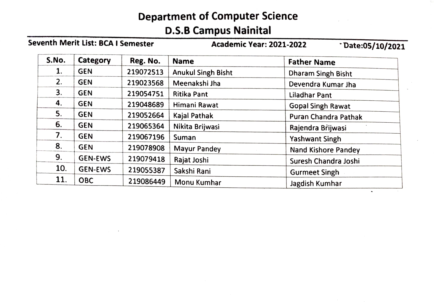## Department of Computer Science

## D.S.B Campus Nainital

| Seventh Merit List: BCA I Semester |                |           | <b>Academic Year: 2021-2022</b><br>Date:05/10/2021 |                            |
|------------------------------------|----------------|-----------|----------------------------------------------------|----------------------------|
| S.No.                              | Category       | Reg. No.  | <b>Name</b>                                        | <b>Father Name</b>         |
| 1.                                 | <b>GEN</b>     | 219072513 | <b>Anukul Singh Bisht</b>                          | Dharam Singh Bisht         |
| 2.                                 | <b>GEN</b>     | 219023568 | Meenakshi Jha                                      | Devendra Kumar Jha         |
| 3.                                 | <b>GEN</b>     | 219054751 | <b>Ritika Pant</b>                                 | <b>Liladhar Pant</b>       |
| 4.                                 | <b>GEN</b>     | 219048689 | Himani Rawat                                       | <b>Gopal Singh Rawat</b>   |
| 5.                                 | <b>GEN</b>     | 219052664 | Kajal Pathak                                       | Puran Chandra Pathak       |
| 6.                                 | <b>GEN</b>     | 219065364 | Nikita Brijwasi                                    | Rajendra Brijwasi          |
| 7.                                 | <b>GEN</b>     | 219067196 | Suman                                              | <b>Yashwant Singh</b>      |
| 8.                                 | <b>GEN</b>     | 219078908 | Mayur Pandey                                       | <b>Nand Kishore Pandey</b> |
| 9.                                 | <b>GEN-EWS</b> | 219079418 | Rajat Joshi                                        | Suresh Chandra Joshi       |
| 10.                                | <b>GEN-EWS</b> | 219055387 | Sakshi Rani                                        | <b>Gurmeet Singh</b>       |
| 11.                                | <b>OBC</b>     | 219086449 | Monu Kumhar                                        | Jagdish Kumhar             |

 $\hat{\phantom{a}}$